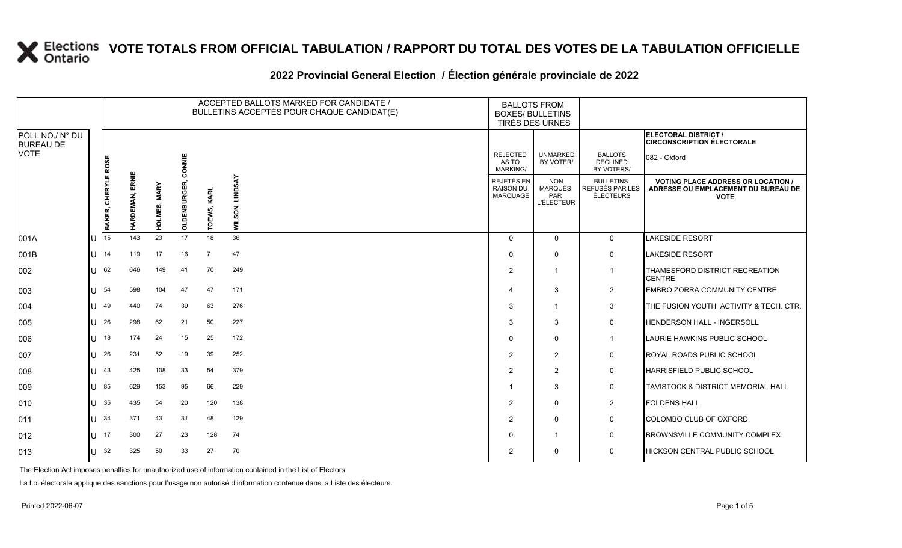#### **2022 Provincial General Election / Élection générale provinciale de 2022**

|                                     |   |                     |                    |                   |              | ACCEPTED BALLOTS MARKED FOR CANDIDATE /<br>BULLETINS ACCEPTÉS POUR CHAQUE CANDIDAT(E) |                           | <b>BALLOTS FROM</b><br><b>BOXES/ BULLETINS</b><br><b>TIRÉS DES URNES</b> |                                                          |                                                  |                                                                                                 |
|-------------------------------------|---|---------------------|--------------------|-------------------|--------------|---------------------------------------------------------------------------------------|---------------------------|--------------------------------------------------------------------------|----------------------------------------------------------|--------------------------------------------------|-------------------------------------------------------------------------------------------------|
| POLL NO./ N° DU<br><b>BUREAU DE</b> |   |                     |                    |                   |              |                                                                                       |                           |                                                                          |                                                          |                                                  | <b>ELECTORAL DISTRICT /</b><br><b>CIRCONSCRIPTION ÉLECTORALE</b>                                |
| VOTE                                |   |                     |                    |                   | CONNIE       |                                                                                       |                           | <b>REJECTED</b><br>AS TO<br><b>MARKING/</b>                              | <b>UNMARKED</b><br>BY VOTER/                             | <b>BALLOTS</b><br><b>DECLINED</b><br>BY VOTERS/  | 082 - Oxford                                                                                    |
|                                     |   | BAKER, CHERYLE ROSE | ERNIE<br>HARDEMAN, | S, MARY<br>Ë<br>훞 | OLDENBURGER, | TOEWS, KARL                                                                           | <b>LINDSAY</b><br>WILSON, | <b>REJETÉS EN</b><br><b>RAISON DU</b><br><b>MARQUAGE</b>                 | <b>NON</b><br>MARQUÉS<br><b>PAR</b><br><b>L'ÉLECTEUR</b> | <b>BULLETINS</b><br>REFUSÉS PAR LES<br>ÉLECTEURS | <b>VOTING PLACE ADDRESS OR LOCATION /</b><br>ADRESSE OU EMPLACEMENT DU BUREAU DE<br><b>VOTE</b> |
| 001A                                |   | 15                  | 143                | 23                | 17           | 18                                                                                    | 36                        | $\Omega$                                                                 | $\mathbf 0$                                              | $\mathbf 0$                                      | <b>LAKESIDE RESORT</b>                                                                          |
| 001B                                | U | 14                  | 119                | 17                | 16           | $\overline{7}$                                                                        | 47                        | $\Omega$                                                                 | $\Omega$                                                 | $\mathbf 0$                                      | <b>LAKESIDE RESORT</b>                                                                          |
| 002                                 |   | 62                  | 646                | 149               | 41           | 70                                                                                    | 249                       | 2                                                                        |                                                          | $\overline{1}$                                   | THAMESFORD DISTRICT RECREATION<br><b>CENTRE</b>                                                 |
| 003                                 | U | 54                  | 598                | 104               | 47           | 47                                                                                    | 171                       | $\overline{4}$                                                           | 3                                                        | $\overline{2}$                                   | EMBRO ZORRA COMMUNITY CENTRE                                                                    |
| 004                                 | U | 49                  | 440                | 74                | 39           | 63                                                                                    | 276                       | 3                                                                        |                                                          | 3                                                | THE FUSION YOUTH ACTIVITY & TECH. CTR.                                                          |
| 005                                 |   | 26                  | 298                | 62                | 21           | 50                                                                                    | 227                       | 3                                                                        | 3                                                        | $\mathbf 0$                                      | <b>HENDERSON HALL - INGERSOLL</b>                                                               |
| 006                                 |   | 18                  | 174                | 24                | 15           | 25                                                                                    | 172                       | $\Omega$                                                                 | $\Omega$                                                 | $\mathbf{1}$                                     | LAURIE HAWKINS PUBLIC SCHOOL                                                                    |
| 007                                 | U | 26                  | 231                | 52                | 19           | 39                                                                                    | 252                       | 2                                                                        | 2                                                        | $\mathbf 0$                                      | ROYAL ROADS PUBLIC SCHOOL                                                                       |
| 008                                 |   | 43                  | 425                | 108               | 33           | 54                                                                                    | 379                       | 2                                                                        | 2                                                        | $\mathbf 0$                                      | <b>HARRISFIELD PUBLIC SCHOOL</b>                                                                |
| 009                                 |   | 85                  | 629                | 153               | 95           | 66                                                                                    | 229                       | -1                                                                       | 3                                                        | $\mathbf 0$                                      | TAVISTOCK & DISTRICT MEMORIAL HALL                                                              |
| 010                                 | U | 35                  | 435                | 54                | 20           | 120                                                                                   | 138                       | 2                                                                        | 0                                                        | 2                                                | <b>FOLDENS HALL</b>                                                                             |
| 011                                 | U | 34                  | 371                | 43                | 31           | 48                                                                                    | 129                       | 2                                                                        | $\Omega$                                                 | $\mathbf 0$                                      | COLOMBO CLUB OF OXFORD                                                                          |
| 012                                 |   | 17                  | 300                | 27                | 23           | 128                                                                                   | 74                        | $\Omega$                                                                 |                                                          | $\mathbf 0$                                      | <b>BROWNSVILLE COMMUNITY COMPLEX</b>                                                            |
| 013                                 |   | 32                  | 325                | 50                | 33           | 27                                                                                    | 70                        | 2                                                                        | 0                                                        | 0                                                | <b>HICKSON CENTRAL PUBLIC SCHOOL</b>                                                            |

The Election Act imposes penalties for unauthorized use of information contained in the List of Electors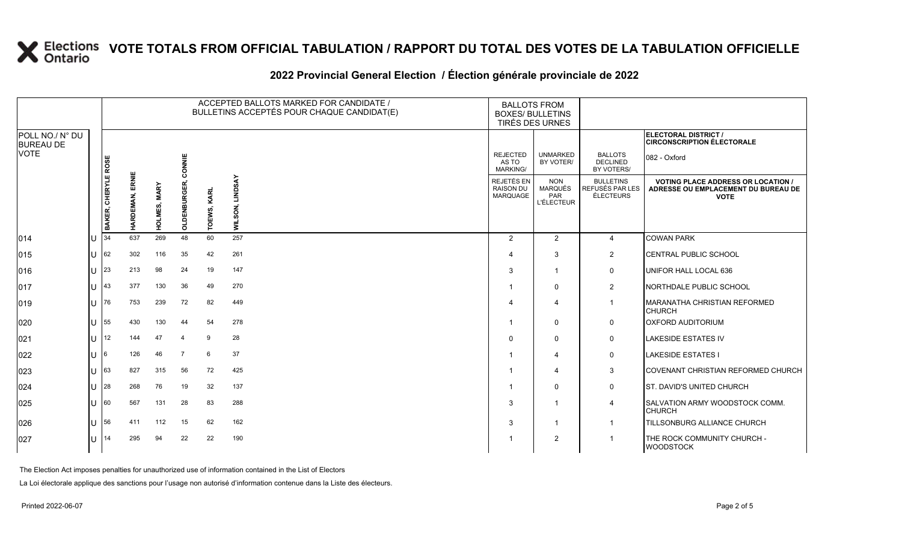|                                             |     |                     |                |              |                |             | ACCEPTED BALLOTS MARKED FOR CANDIDATE /<br>BULLETINS ACCEPTÉS POUR CHAQUE CANDIDAT(E) | <b>BALLOTS FROM</b><br><b>BOXES/ BULLETINS</b><br>TIRÉS DES URNES |                                                          |                                                         |                                                                                                 |
|---------------------------------------------|-----|---------------------|----------------|--------------|----------------|-------------|---------------------------------------------------------------------------------------|-------------------------------------------------------------------|----------------------------------------------------------|---------------------------------------------------------|-------------------------------------------------------------------------------------------------|
| POLL NO./ N° DU<br><b>BUREAU DE</b><br>VOTE |     |                     |                |              |                |             |                                                                                       |                                                                   |                                                          |                                                         | ELECTORAL DISTRICT /<br><b>CIRCONSCRIPTION ÉLECTORALE</b>                                       |
|                                             |     |                     |                |              | CONNIE         |             |                                                                                       | <b>REJECTED</b><br>AS TO<br><b>MARKING/</b>                       | <b>UNMARKED</b><br>BY VOTER/                             | <b>BALLOTS</b><br><b>DECLINED</b><br>BY VOTERS/         | 082 - Oxford                                                                                    |
|                                             |     | BAKER, CHERYLE ROSI | ERNIE<br>HARDE | HOLMES, MARY | OLDENBURGE     | TOEWS, KARL | WILSON, LINDSAY                                                                       | REJETÉS EN<br>RAISON DU<br><b>MARQUAGE</b>                        | <b>NON</b><br><b>MARQUÉS</b><br>PAR<br><b>L'ÉLECTEUR</b> | <b>BULLETINS</b><br>REFUSÉS PAR LES<br><b>ÉLECTEURS</b> | <b>VOTING PLACE ADDRESS OR LOCATION /</b><br>ADRESSE OU EMPLACEMENT DU BUREAU DE<br><b>VOTE</b> |
| 014                                         | IU  | 134                 | 637            | 269          | 48             | 60          | 257                                                                                   | 2                                                                 | 2                                                        | $\overline{4}$                                          | <b>COWAN PARK</b>                                                                               |
| 015                                         | IU  | 62                  | 302            | 116          | 35             | 42          | 261                                                                                   | 4                                                                 | 3                                                        | 2                                                       | CENTRAL PUBLIC SCHOOL                                                                           |
| 016                                         | IU  | 23                  | 213            | 98           | 24             | 19          | 147                                                                                   | 3                                                                 | $\overline{1}$                                           | 0                                                       | UNIFOR HALL LOCAL 636                                                                           |
| 017                                         | IU. | 43                  | 377            | 130          | 36             | 49          | 270                                                                                   |                                                                   | $\mathbf 0$                                              | $\overline{2}$                                          | NORTHDALE PUBLIC SCHOOL                                                                         |
| 019                                         | ΙU  | 76                  | 753            | 239          | 72             | 82          | 449                                                                                   |                                                                   | 4                                                        | $\overline{1}$                                          | MARANATHA CHRISTIAN REFORMED<br><b>CHURCH</b>                                                   |
| 020                                         | IU. | 55                  | 430            | 130          | 44             | 54          | 278                                                                                   |                                                                   | $\mathbf 0$                                              | 0                                                       | <b>OXFORD AUDITORIUM</b>                                                                        |
| 021                                         | IU. | $ 12\rangle$        | 144            | 47           | $\overline{4}$ | 9           | 28                                                                                    | $\Omega$                                                          | $\mathbf 0$                                              | 0                                                       | <b>LAKESIDE ESTATES IV</b>                                                                      |
| 022                                         | IU  | 16                  | 126            | 46           | $\overline{7}$ | 6           | 37                                                                                    |                                                                   | $\overline{4}$                                           | 0                                                       | <b>LAKESIDE ESTATES I</b>                                                                       |
| 023                                         | IU  | 63                  | 827            | 315          | 56             | 72          | 425                                                                                   |                                                                   | $\overline{4}$                                           | 3                                                       | ICOVENANT CHRISTIAN REFORMED CHURCH                                                             |
| 024                                         | IU  | 28                  | 268            | 76           | 19             | 32          | 137                                                                                   |                                                                   | 0                                                        | 0                                                       | <b>ST. DAVID'S UNITED CHURCH</b>                                                                |
| 025                                         | IU  | 60                  | 567            | 131          | 28             | 83          | 288                                                                                   | 3                                                                 | $\overline{1}$                                           | 4                                                       | <b>SALVATION ARMY WOODSTOCK COMM.</b><br><b>CHURCH</b>                                          |
| 026                                         | IU  | 56                  | 411            | 112          | 15             | 62          | 162                                                                                   | 3                                                                 | $\mathbf{1}$                                             | $\overline{1}$                                          | TILLSONBURG ALLIANCE CHURCH                                                                     |
| 027                                         | ПT  | l 14                | 295            | 94           | 22             | 22          | 190                                                                                   |                                                                   | 2                                                        | $\overline{1}$                                          | THE ROCK COMMUNITY CHURCH -<br><b>WOODSTOCK</b>                                                 |
|                                             |     |                     |                |              |                |             |                                                                                       |                                                                   |                                                          |                                                         |                                                                                                 |

#### **2022 Provincial General Election / Élection générale provinciale de 2022**

The Election Act imposes penalties for unauthorized use of information contained in the List of Electors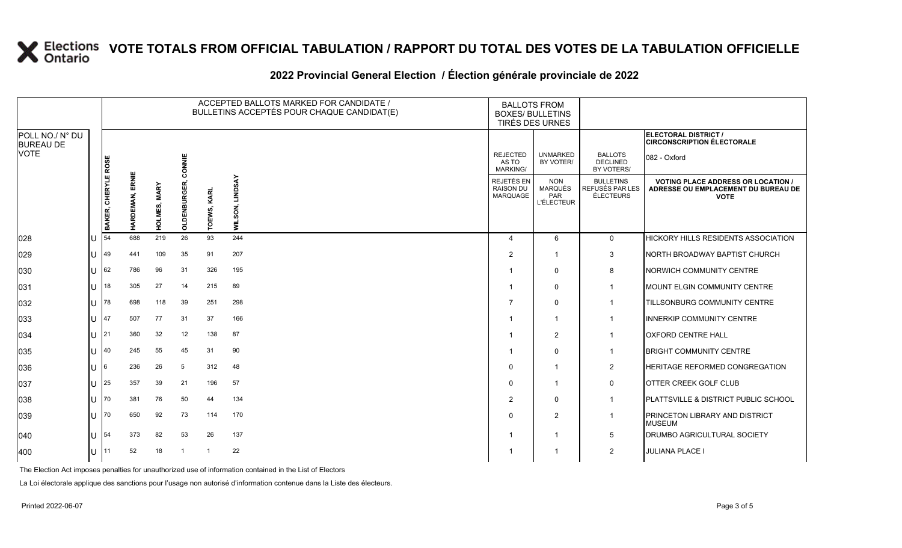|                                     |              |                            |                           |                        |            |                | ACCEPTED BALLOTS MARKED FOR CANDIDATE /<br>BULLETINS ACCEPTÉS POUR CHAQUE CANDIDAT(E) | <b>BALLOTS FROM</b><br><b>BOXES/ BULLETINS</b><br>TIRÉS DES URNES |                                                          |                                                  |                                                                                                 |
|-------------------------------------|--------------|----------------------------|---------------------------|------------------------|------------|----------------|---------------------------------------------------------------------------------------|-------------------------------------------------------------------|----------------------------------------------------------|--------------------------------------------------|-------------------------------------------------------------------------------------------------|
| POLL NO./ N° DU<br><b>BUREAU DE</b> |              |                            |                           |                        |            |                |                                                                                       |                                                                   |                                                          |                                                  | <b>ELECTORAL DISTRICT /</b><br><b>CIRCONSCRIPTION ÉLECTORALE</b>                                |
| VOTE                                |              |                            |                           |                        | CONNIE     |                |                                                                                       | <b>REJECTED</b><br>AS TO<br><b>MARKING/</b>                       | <b>UNMARKED</b><br>BY VOTER/                             | <b>BALLOTS</b><br><b>DECLINED</b><br>BY VOTERS/  | 082 - Oxford                                                                                    |
|                                     |              | BAKER, CHERYLE ROSI        | ERNIE<br>퍔<br><b>HARI</b> | <b>MARY</b><br>HOLMES, | OLDENBURGE | TOEWS, KARL    | <b>LINDSAY</b><br>WILSON,                                                             | <b>REJETÉS EN</b><br><b>RAISON DU</b><br>MARQUAGE                 | <b>NON</b><br>MARQUÉS<br><b>PAR</b><br><b>L'ÉLECTEUR</b> | <b>BULLETINS</b><br>REFUSÉS PAR LES<br>ÉLECTEURS | <b>VOTING PLACE ADDRESS OR LOCATION /</b><br>ADRESSE OU EMPLACEMENT DU BUREAU DE<br><b>VOTE</b> |
| 028                                 | U            | 54                         | 688                       | 219                    | 26         | 93             | 244                                                                                   | $\overline{a}$                                                    | 6                                                        | $\Omega$                                         | HICKORY HILLS RESIDENTS ASSOCIATION                                                             |
| 029                                 |              | <b>U</b> 49                | 441                       | 109                    | 35         | 91             | 207                                                                                   | $\overline{2}$                                                    | -1                                                       | 3                                                | NORTH BROADWAY BAPTIST CHURCH                                                                   |
| 030                                 | $\mathbf{L}$ | 62                         | 786                       | 96                     | 31         | 326            | 195                                                                                   |                                                                   | $\mathbf 0$                                              | 8                                                | NORWICH COMMUNITY CENTRE                                                                        |
| 031                                 | ΠT           | 18                         | 305                       | 27                     | 14         | 215            | 89                                                                                    |                                                                   | $\mathbf{0}$                                             | $\overline{1}$                                   | MOUNT ELGIN COMMUNITY CENTRE                                                                    |
| 032                                 |              | <b>U</b> 178               | 698                       | 118                    | 39         | 251            | 298                                                                                   |                                                                   | 0                                                        | $\mathbf{1}$                                     | TILLSONBURG COMMUNITY CENTRE                                                                    |
| 033                                 | $\mathbf{L}$ | 147                        | 507                       | 77                     | 31         | 37             | 166                                                                                   |                                                                   | $\overline{1}$                                           | $\mathbf{1}$                                     | <b>INNERKIP COMMUNITY CENTRE</b>                                                                |
| 034                                 | U            | 21                         | 360                       | 32                     | 12         | 138            | 87                                                                                    |                                                                   | $\overline{2}$                                           | $\overline{1}$                                   | <b>OXFORD CENTRE HALL</b>                                                                       |
| 035                                 |              | $\lfloor$   $\rfloor$   40 | 245                       | 55                     | 45         | 31             | 90                                                                                    |                                                                   | $\mathbf 0$                                              | $\mathbf{1}$                                     | <b>BRIGHT COMMUNITY CENTRE</b>                                                                  |
| 036                                 | $\mathbf{L}$ | 16                         | 236                       | 26                     | 5          | 312            | 48                                                                                    | $\Omega$                                                          | $\overline{1}$                                           | $\overline{2}$                                   | HERITAGE REFORMED CONGREGATION                                                                  |
| 037                                 | U            | 25                         | 357                       | 39                     | 21         | 196            | 57                                                                                    | $\Omega$                                                          | -1                                                       | 0                                                | OTTER CREEK GOLF CLUB                                                                           |
| 038                                 |              | IU 170                     | 381                       | 76                     | 50         | 44             | 134                                                                                   | $\overline{2}$                                                    | $\mathbf 0$                                              | $\mathbf 1$                                      | PLATTSVILLE & DISTRICT PUBLIC SCHOOL                                                            |
| 039                                 | ΠT           | 170                        | 650                       | 92                     | 73         | 114            | 170                                                                                   | $\Omega$                                                          | 2                                                        | $\mathbf{1}$                                     | PRINCETON LIBRARY AND DISTRICT<br><b>MUSEUM</b>                                                 |
| 040                                 | ΙU           | <b>154</b>                 | 373                       | 82                     | 53         | 26             | 137                                                                                   |                                                                   | -1                                                       | 5                                                | DRUMBO AGRICULTURAL SOCIETY                                                                     |
| 400                                 |              | $ U $ <sup>11</sup>        | 52                        | 18                     | -1         | $\overline{1}$ | 22                                                                                    |                                                                   | -1                                                       | $\overline{2}$                                   | <b>JULIANA PLACE I</b>                                                                          |

#### **2022 Provincial General Election / Élection générale provinciale de 2022**

The Election Act imposes penalties for unauthorized use of information contained in the List of Electors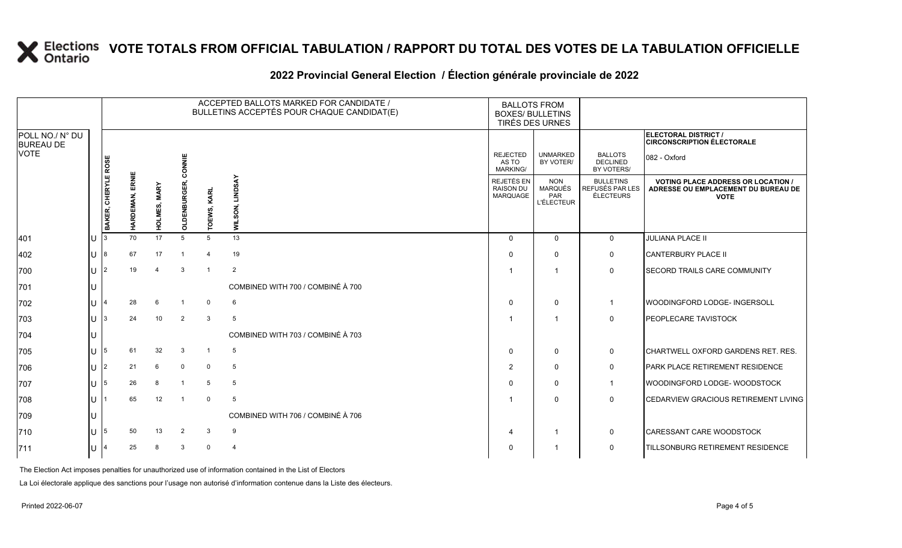### **2022 Provincial General Election / Élection générale provinciale de 2022**

|                                     |              | ACCEPTED BALLOTS MARKED FOR CANDIDATE /<br>BULLETINS ACCEPTÉS POUR CHAQUE CANDIDAT(E) |                        |              |                |                |                                   | <b>BALLOTS FROM</b><br><b>BOXES/ BULLETINS</b><br>TIRÉS DES URNES |                                                   |                                                  |                                                                                                 |
|-------------------------------------|--------------|---------------------------------------------------------------------------------------|------------------------|--------------|----------------|----------------|-----------------------------------|-------------------------------------------------------------------|---------------------------------------------------|--------------------------------------------------|-------------------------------------------------------------------------------------------------|
| POLL NO./ N° DU<br><b>BUREAU DE</b> |              |                                                                                       |                        |              |                |                |                                   |                                                                   |                                                   |                                                  | ELECTORAL DISTRICT /<br><b>CIRCONSCRIPTION ÉLECTORALE</b>                                       |
| <b>VOTE</b>                         |              |                                                                                       |                        |              | CONNIE         |                |                                   | <b>REJECTED</b><br>AS TO<br>MARKING/                              | <b>UNMARKED</b><br>BY VOTER/                      | <b>BALLOTS</b><br><b>DECLINED</b><br>BY VOTERS/  | 082 - Oxford                                                                                    |
|                                     |              | BAKER, CHERYLE ROSE                                                                   | <b>HARDEMAN, ERNIE</b> | HOLMES, MARY | OLDENBURGER,   | TOEWS, KARL    | <b>LINDSAY</b><br>WILSON,         | <b>REJETÉS EN</b><br><b>RAISON DU</b><br>MARQUAGE                 | <b>NON</b><br>MARQUÉS<br>PAR<br><b>L'ÉLECTEUR</b> | <b>BULLETINS</b><br>REFUSÉS PAR LES<br>ÉLECTEURS | <b>VOTING PLACE ADDRESS OR LOCATION /</b><br>ADRESSE OU EMPLACEMENT DU BUREAU DE<br><b>VOTE</b> |
| 401                                 | U            |                                                                                       | 70                     | 17           | 5              | 5              | 13                                | $\Omega$                                                          | $\Omega$                                          | $\mathbf 0$                                      | <b>JULIANA PLACE II</b>                                                                         |
| 402                                 | U            | 8                                                                                     | 67                     | 17           |                | $\overline{4}$ | 19                                | $\Omega$                                                          | 0                                                 | 0                                                | <b>CANTERBURY PLACE II</b>                                                                      |
| 700                                 | U            | 2                                                                                     | 19                     |              | 3              |                | $\overline{2}$                    |                                                                   | -1                                                | 0                                                | <b>SECORD TRAILS CARE COMMUNITY</b>                                                             |
| 701                                 |              |                                                                                       |                        |              |                |                | COMBINED WITH 700 / COMBINÉ À 700 |                                                                   |                                                   |                                                  |                                                                                                 |
| 702                                 | $\cup$       |                                                                                       | 28                     | 6            |                | $\mathbf 0$    | 6                                 | $\Omega$                                                          | 0                                                 | -1                                               | WOODINGFORD LODGE- INGERSOLL                                                                    |
| 703                                 | $\cup$       | 3                                                                                     | 24                     | 10           | $\overline{2}$ | 3              | 5                                 |                                                                   |                                                   | 0                                                | <b>PEOPLECARE TAVISTOCK</b>                                                                     |
| 704                                 |              |                                                                                       |                        |              |                |                | COMBINED WITH 703 / COMBINÉ À 703 |                                                                   |                                                   |                                                  |                                                                                                 |
| 705                                 | $\mathbf{U}$ | 5                                                                                     | 61                     | 32           | 3              | $\mathbf{1}$   | 5                                 | $\Omega$                                                          | $\Omega$                                          | 0                                                | CHARTWELL OXFORD GARDENS RET. RES.                                                              |
| 706                                 | U            | $\overline{2}$                                                                        | 21                     | 6            | $\mathbf 0$    | $\mathbf 0$    | 5                                 | $\overline{2}$                                                    | $\Omega$                                          | 0                                                | <b>PARK PLACE RETIREMENT RESIDENCE</b>                                                          |
| 707                                 | $\mathbf{U}$ | 5                                                                                     | 26                     | 8            | -1             | 5              | 5                                 | $\Omega$                                                          | 0                                                 | $\mathbf 1$                                      | WOODINGFORD LODGE-WOODSTOCK                                                                     |
| 708                                 | $\mathbf{U}$ |                                                                                       | 65                     | 12           | -1             | $\mathbf 0$    | 5                                 |                                                                   | $\Omega$                                          | $\Omega$                                         | <b>CEDARVIEW GRACIOUS RETIREMENT LIVING</b>                                                     |
| 709                                 |              |                                                                                       |                        |              |                |                | COMBINED WITH 706 / COMBINÉ À 706 |                                                                   |                                                   |                                                  |                                                                                                 |
| 710                                 | $\mathbf{U}$ | 5                                                                                     | 50                     | 13           | 2              | 3              | 9                                 | 4                                                                 | -1                                                | 0                                                | CARESSANT CARE WOODSTOCK                                                                        |
| 711                                 |              |                                                                                       | 25                     |              | 3              | $\mathbf 0$    | $\overline{4}$                    | $\Omega$                                                          |                                                   | $\Omega$                                         | TILLSONBURG RETIREMENT RESIDENCE                                                                |

The Election Act imposes penalties for unauthorized use of information contained in the List of Electors